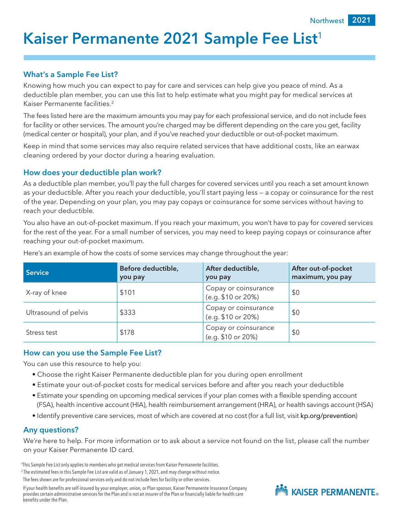# Kaiser Permanente 2021 Sample Fee List<sup>1</sup>

#### What's a Sample Fee List?

Knowing how much you can expect to pay for care and services can help give you peace of mind. As a deductible plan member, you can use this list to help estimate what you might pay for medical services at Kaiser Permanente facilities.2

The fees listed here are the maximum amounts you may pay for each professional service, and do not include fees for facility or other services. The amount you're charged may be different depending on the care you get, facility (medical center or hospital), your plan, and if you've reached your deductible or out-of-pocket maximum.

Keep in mind that some services may also require related services that have additional costs, like an earwax cleaning ordered by your doctor during a hearing evaluation.

#### How does your deductible plan work?

As a deductible plan member, you'll pay the full charges for covered services until you reach a set amount known as your deductible. After you reach your deductible, you'll start paying less — a copay or coinsurance for the rest of the year. Depending on your plan, you may pay copays or coinsurance for some services without having to reach your deductible.

You also have an out-of-pocket maximum. If you reach your maximum, you won't have to pay for covered services for the rest of the year. For a small number of services, you may need to keep paying copays or coinsurance after reaching your out-of-pocket maximum.

| <b>Service</b>       | Before deductible,<br>you pay | After deductible,<br>you pay               | After out-of-pocket<br>maximum, you pay |
|----------------------|-------------------------------|--------------------------------------------|-----------------------------------------|
| X-ray of knee        | \$101                         | Copay or coinsurance<br>(e.g. \$10 or 20%) | \$0                                     |
| Ultrasound of pelvis | \$333                         | Copay or coinsurance<br>(e.g. \$10 or 20%) | \$0                                     |
| Stress test          | \$178                         | Copay or coinsurance<br>(e.g. \$10 or 20%) | \$0                                     |

Here's an example of how the costs of some services may change throughout the year:

#### How can you use the Sample Fee List?

You can use this resource to help you:

- Choose the right Kaiser Permanente deductible plan for you during open enrollment
- Estimate your out-of-pocket costs for medical services before and after you reach your deductible
- Estimate your spending on upcoming medical services if your plan comes with a flexible spending account (FSA), health incentive account (HIA), health reimbursement arrangement (HRA), or health savings account (HSA)
- Identify preventive care services, most of which are covered at no cost (for a full list, visit [kp.org/prevention](http://kp.org/prevention))

#### Any questions?

We're here to help. For more information or to ask about a service not found on the list, please call the number on your Kaiser Permanente ID card.

1 This Sample Fee List only applies to members who get medical services from Kaiser Permanente facilities. <sup>2</sup> The estimated fees in this Sample Fee List are valid as of January 1, 2021, and may change without notice.

The fees shown are for professional services only and do not include fees for facility or other services.

If your health benefits are self-insured by your employer, union, or Plan sponsor, Kaiser Permanente Insurance Company provides certain administrative services for the Plan and is not an insurer of the Plan or financially liable for health care benefits under the Plan.

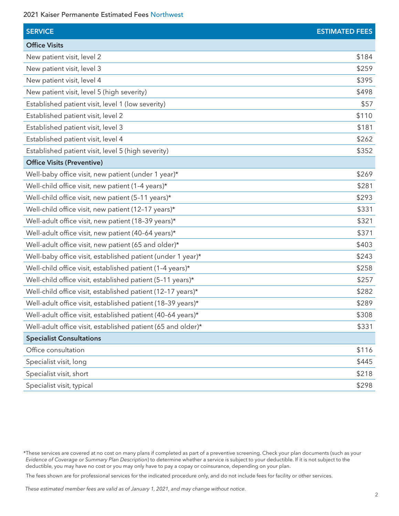| <b>SERVICE</b>                                               | <b>ESTIMATED FEES</b> |
|--------------------------------------------------------------|-----------------------|
| <b>Office Visits</b>                                         |                       |
| New patient visit, level 2                                   | \$184                 |
| New patient visit, level 3                                   | \$259                 |
| New patient visit, level 4                                   | \$395                 |
| New patient visit, level 5 (high severity)                   | \$498                 |
| Established patient visit, level 1 (low severity)            | \$57                  |
| Established patient visit, level 2                           | \$110                 |
| Established patient visit, level 3                           | \$181                 |
| Established patient visit, level 4                           | \$262                 |
| Established patient visit, level 5 (high severity)           | \$352                 |
| <b>Office Visits (Preventive)</b>                            |                       |
| Well-baby office visit, new patient (under 1 year)*          | \$269                 |
| Well-child office visit, new patient (1-4 years)*            | \$281                 |
| Well-child office visit, new patient (5-11 years)*           | \$293                 |
| Well-child office visit, new patient (12-17 years)*          | \$331                 |
| Well-adult office visit, new patient (18-39 years)*          | \$321                 |
| Well-adult office visit, new patient (40-64 years)*          | \$371                 |
| Well-adult office visit, new patient (65 and older)*         | \$403                 |
| Well-baby office visit, established patient (under 1 year)*  | \$243                 |
| Well-child office visit, established patient (1-4 years)*    | \$258                 |
| Well-child office visit, established patient (5-11 years)*   | \$257                 |
| Well-child office visit, established patient (12-17 years)*  | \$282                 |
| Well-adult office visit, established patient (18-39 years)*  | \$289                 |
| Well-adult office visit, established patient (40-64 years)*  | \$308                 |
| Well-adult office visit, established patient (65 and older)* | \$331                 |
| <b>Specialist Consultations</b>                              |                       |
| Office consultation                                          | \$116                 |
| Specialist visit, long                                       | \$445                 |
| Specialist visit, short                                      | \$218                 |
| Specialist visit, typical                                    | \$298                 |

The fees shown are for professional services for the indicated procedure only, and do not include fees for facility or other services.

<sup>\*</sup>These services are covered at no cost on many plans if completed as part of a preventive screening. Check your plan documents (such as your *Evidence of Coverage* or *Summary Plan Description*) to determine whether a service is subject to your deductible. If it is not subject to the deductible, you may have no cost or you may only have to pay a copay or coinsurance, depending on your plan.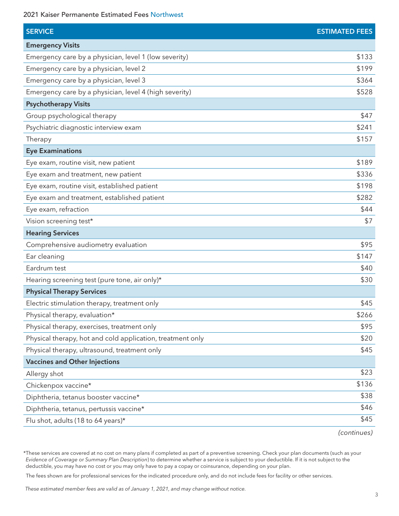| <b>SERVICE</b>                                             | <b>ESTIMATED FEES</b> |
|------------------------------------------------------------|-----------------------|
| <b>Emergency Visits</b>                                    |                       |
| Emergency care by a physician, level 1 (low severity)      | \$133                 |
| Emergency care by a physician, level 2                     | \$199                 |
| Emergency care by a physician, level 3                     | \$364                 |
| Emergency care by a physician, level 4 (high severity)     | \$528                 |
| <b>Psychotherapy Visits</b>                                |                       |
| Group psychological therapy                                | \$47                  |
| Psychiatric diagnostic interview exam                      | \$241                 |
| Therapy                                                    | \$157                 |
| <b>Eye Examinations</b>                                    |                       |
| Eye exam, routine visit, new patient                       | \$189                 |
| Eye exam and treatment, new patient                        | \$336                 |
| Eye exam, routine visit, established patient               | \$198                 |
| Eye exam and treatment, established patient                | \$282                 |
| Eye exam, refraction                                       | \$44                  |
| Vision screening test*                                     | \$7                   |
| <b>Hearing Services</b>                                    |                       |
| Comprehensive audiometry evaluation                        | \$95                  |
| Ear cleaning                                               | \$147                 |
| Eardrum test                                               | \$40                  |
| Hearing screening test (pure tone, air only)*              | \$30                  |
| <b>Physical Therapy Services</b>                           |                       |
| Electric stimulation therapy, treatment only               | \$45                  |
| Physical therapy, evaluation*                              | \$266                 |
| Physical therapy, exercises, treatment only                | \$95                  |
| Physical therapy, hot and cold application, treatment only | \$20                  |
| Physical therapy, ultrasound, treatment only               | \$45                  |
| <b>Vaccines and Other Injections</b>                       |                       |
| Allergy shot                                               | \$23                  |
| Chickenpox vaccine*                                        | \$136                 |
| Diphtheria, tetanus booster vaccine*                       | \$38                  |
| Diphtheria, tetanus, pertussis vaccine*                    | \$46                  |
| Flu shot, adults (18 to 64 years)*                         | \$45                  |
|                                                            |                       |

*(continues)*

\*These services are covered at no cost on many plans if completed as part of a preventive screening. Check your plan documents (such as your *Evidence of Coverage* or *Summary Plan Description*) to determine whether a service is subject to your deductible. If it is not subject to the deductible, you may have no cost or you may only have to pay a copay or coinsurance, depending on your plan.

The fees shown are for professional services for the indicated procedure only, and do not include fees for facility or other services.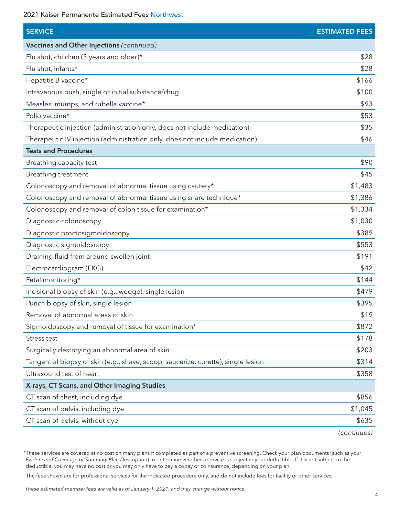2021 Kaiser Permanente Estimated Fees Northwest

| <b>SERVICE</b>                                                                    | <b>ESTIMATED FEES</b> |
|-----------------------------------------------------------------------------------|-----------------------|
| Vaccines and Other Injections (continued)                                         |                       |
| Flu shot, children (3 years and older)*                                           | \$28                  |
| Flu shot, infants*                                                                | \$28                  |
| Hepatitis B vaccine*                                                              | \$166                 |
| Intravenous push, single or initial substance/drug                                | \$100                 |
| Measles, mumps, and rubella vaccine*                                              | \$93                  |
| Polio vaccine*                                                                    | \$53                  |
| Therapeutic injection (administration only, does not include medication)          | \$35                  |
| Therapeutic IV injection (administration only, does not include medication)       | \$46                  |
| <b>Tests and Procedures</b>                                                       |                       |
| Breathing capacity test                                                           | \$90                  |
| Breathing treatment                                                               | \$45                  |
| Colonoscopy and removal of abnormal tissue using cautery*                         | \$1,483               |
| Colonoscopy and removal of abnormal tissue using snare technique*                 | \$1,386               |
| Colonoscopy and removal of colon tissue for examination*                          | \$1,334               |
| Diagnostic colonoscopy                                                            | \$1,030               |
| Diagnostic proctosigmoidoscopy                                                    | \$389                 |
| Diagnostic sigmoidoscopy                                                          | \$553                 |
| Draining fluid from around swollen joint                                          | \$191                 |
| Electrocardiogram (EKG)                                                           | \$42                  |
| Fetal monitoring*                                                                 | \$144                 |
| Incisional biopsy of skin (e.g., wedge), single lesion                            | \$479                 |
| Punch biopsy of skin, single lesion                                               | \$395                 |
| Removal of abnormal areas of skin                                                 | \$19                  |
| Sigmoidoscopy and removal of tissue for examination*                              | \$872                 |
| Stress test                                                                       | \$178                 |
| Surgically destroying an abnormal area of skin                                    | \$203                 |
| Tangential biopsy of skin (e.g., shave, scoop, saucerize, curette), single lesion | \$314                 |
| Ultrasound test of heart                                                          | \$358                 |
| X-rays, CT Scans, and Other Imaging Studies                                       |                       |
| CT scan of chest, including dye                                                   | \$856                 |
| CT scan of pelvis, including dye                                                  | \$1,045               |
| CT scan of pelvis, without dye                                                    | \$635                 |
|                                                                                   | (continues)           |

\*These services are covered at no cost on many plans if completed as part of a preventive screening. Check your plan documents (such as your *Evidence of Coverage* or *Summary Plan Description*) to determine whether a service is subject to your deductible. If it is not subject to the deductible, you may have no cost or you may only have to pay a copay or coinsurance, depending on your plan.

The fees shown are for professional services for the indicated procedure only, and do not include fees for facility or other services.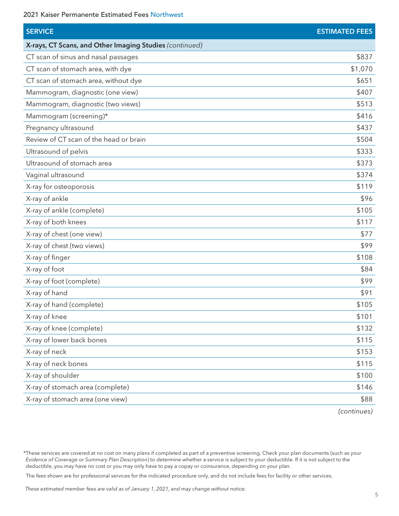2021 Kaiser Permanente Estimated Fees Northwest

| <b>SERVICE</b>                                          | <b>ESTIMATED FEES</b> |
|---------------------------------------------------------|-----------------------|
| X-rays, CT Scans, and Other Imaging Studies (continued) |                       |
| CT scan of sinus and nasal passages                     | \$837                 |
| CT scan of stomach area, with dye                       | \$1,070               |
| CT scan of stomach area, without dye                    | \$651                 |
| Mammogram, diagnostic (one view)                        | \$407                 |
| Mammogram, diagnostic (two views)                       | \$513                 |
| Mammogram (screening)*                                  | \$416                 |
| Pregnancy ultrasound                                    | \$437                 |
| Review of CT scan of the head or brain                  | \$504                 |
| Ultrasound of pelvis                                    | \$333                 |
| Ultrasound of stomach area                              | \$373                 |
| Vaginal ultrasound                                      | \$374                 |
| X-ray for osteoporosis                                  | \$119                 |
| X-ray of ankle                                          | \$96                  |
| X-ray of ankle (complete)                               | \$105                 |
| X-ray of both knees                                     | \$117                 |
| X-ray of chest (one view)                               | \$77                  |
| X-ray of chest (two views)                              | \$99                  |
| X-ray of finger                                         | \$108                 |
| X-ray of foot                                           | \$84                  |
| X-ray of foot (complete)                                | \$99                  |
| X-ray of hand                                           | \$91                  |
| X-ray of hand (complete)                                | \$105                 |
| X-ray of knee                                           | \$101                 |
| X-ray of knee (complete)                                | \$132                 |
| X-ray of lower back bones                               | \$115                 |
| X-ray of neck                                           | \$153                 |
| X-ray of neck bones                                     | \$115                 |
| X-ray of shoulder                                       | \$100                 |
| X-ray of stomach area (complete)                        | \$146                 |
| X-ray of stomach area (one view)                        | \$88                  |
|                                                         |                       |

*(continues)*

<sup>\*</sup>These services are covered at no cost on many plans if completed as part of a preventive screening. Check your plan documents (such as your *Evidence of Coverage* or *Summary Plan Description*) to determine whether a service is subject to your deductible. If it is not subject to the deductible, you may have no cost or you may only have to pay a copay or coinsurance, depending on your plan.

The fees shown are for professional services for the indicated procedure only, and do not include fees for facility or other services.

*These estimated member fees are valid as of January 1, 2021, and may change without notice.*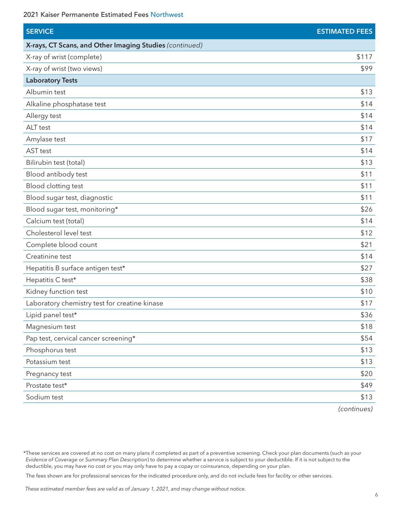| <b>SERVICE</b>                                          | <b>ESTIMATED FEES</b> |
|---------------------------------------------------------|-----------------------|
| X-rays, CT Scans, and Other Imaging Studies (continued) |                       |
| X-ray of wrist (complete)                               | \$117                 |
| X-ray of wrist (two views)                              | \$99                  |
| <b>Laboratory Tests</b>                                 |                       |
| Albumin test                                            | \$13                  |
| Alkaline phosphatase test                               | \$14                  |
| Allergy test                                            | \$14                  |
| ALT test                                                | \$14                  |
| Amylase test                                            | \$17                  |
| AST test                                                | \$14                  |
| Bilirubin test (total)                                  | \$13                  |
| Blood antibody test                                     | \$11                  |
| Blood clotting test                                     | \$11                  |
| Blood sugar test, diagnostic                            | \$11                  |
| Blood sugar test, monitoring*                           | \$26                  |
| Calcium test (total)                                    | \$14                  |
| Cholesterol level test                                  | \$12                  |
| Complete blood count                                    | \$21                  |
| Creatinine test                                         | \$14                  |
| Hepatitis B surface antigen test*                       | \$27                  |
| Hepatitis C test*                                       | \$38                  |
| Kidney function test                                    | \$10                  |
| Laboratory chemistry test for creatine kinase           | \$17                  |
| Lipid panel test*                                       | \$36                  |
| Magnesium test                                          | \$18                  |
| Pap test, cervical cancer screening*                    | \$54                  |
| Phosphorus test                                         | \$13                  |
| Potassium test                                          | \$13                  |
| Pregnancy test                                          | \$20                  |
| Prostate test*                                          | \$49                  |
| Sodium test                                             | \$13                  |

*(continues)*

<sup>\*</sup>These services are covered at no cost on many plans if completed as part of a preventive screening. Check your plan documents (such as your *Evidence of Coverage* or *Summary Plan Description*) to determine whether a service is subject to your deductible. If it is not subject to the deductible, you may have no cost or you may only have to pay a copay or coinsurance, depending on your plan.

The fees shown are for professional services for the indicated procedure only, and do not include fees for facility or other services.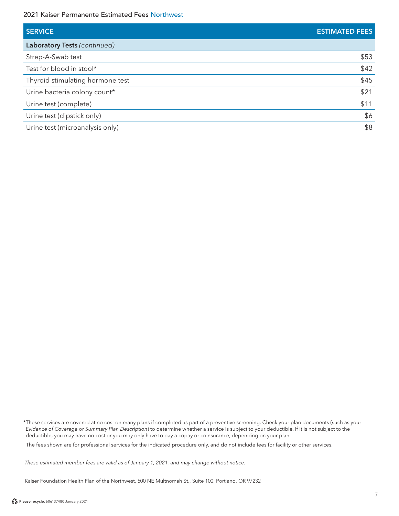| <b>SERVICE</b>                   | <b>ESTIMATED FEES</b> |
|----------------------------------|-----------------------|
| Laboratory Tests (continued)     |                       |
| Strep-A-Swab test                | \$53                  |
| Test for blood in stool*         | \$42                  |
| Thyroid stimulating hormone test | \$45                  |
| Urine bacteria colony count*     | \$21                  |
| Urine test (complete)            | \$11                  |
| Urine test (dipstick only)       | \$6                   |
| Urine test (microanalysis only)  | \$8                   |
|                                  |                       |

\*These services are covered at no cost on many plans if completed as part of a preventive screening. Check your plan documents (such as your *Evidence of Coverage* or *Summary Plan Description*) to determine whether a service is subject to your deductible. If it is not subject to the deductible, you may have no cost or you may only have to pay a copay or coinsurance, depending on your plan.

The fees shown are for professional services for the indicated procedure only, and do not include fees for facility or other services.

 *These estimated member fees are valid as of January 1, 2021, and may change without notice.*

Kaiser Foundation Health Plan of the Northwest, 500 NE Multnomah St., Suite 100, Portland, OR 97232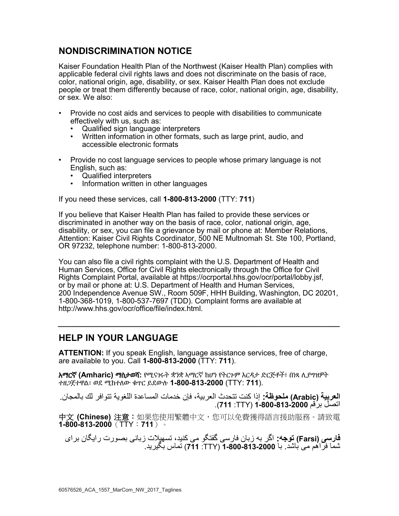## **NONDISCRIMINATION NOTICE**

Kaiser Foundation Health Plan of the Northwest (Kaiser Health Plan) complies with applicable federal civil rights laws and does not discriminate on the basis of race, color, national origin, age, disability, or sex. Kaiser Health Plan does not exclude people or treat them differently because of race, color, national origin, age, disability, or sex. We also:

- Provide no cost aids and services to people with disabilities to communicate effectively with us, such as:
	- Qualified sign language interpreters
	- Written information in other formats, such as large print, audio, and accessible electronic formats
- Provide no cost language services to people whose primary language is not English, such as:
	- Qualified interpreters<br>• Information written in
	- Information written in other languages

If you need these services, call **1-800-813-2000** (TTY: **711**)

If you believe that Kaiser Health Plan has failed to provide these services or discriminated in another way on the basis of race, color, national origin, age, disability, or sex, you can file a grievance by mail or phone at: Member Relations, Attention: Kaiser Civil Rights Coordinator, 500 NE Multnomah St. Ste 100, Portland, OR 97232, telephone number: 1-800-813-2000.

You can also file a civil rights complaint with the U.S. Department of Health and Human Services, Office for Civil Rights electronically through the Office for Civil Rights Complaint Portal, available at [https://ocrportal.hhs.gov/ocr/portal/lobby.jsf,](https://ocrportal.hhs.gov/ocr/portal/lobby.jsf) or by mail or phone at: U.S. Department of Health and Human Services, 200 Independence Avenue SW., Room 509F, HHH Building, Washington, DC 20201, 1-800-368-1019, 1-800-537-7697 (TDD). Complaint forms are available at [http://www.hhs.gov/ocr/office/file/index.html.](http://www.hhs.gov/ocr/office/file/index.html)

**\_\_\_\_\_\_\_\_\_\_\_\_\_\_\_\_\_\_\_\_\_\_\_\_\_\_\_\_\_\_\_\_\_\_\_\_\_\_\_\_\_\_\_\_\_\_\_\_\_\_\_\_\_\_\_\_\_\_\_\_\_\_\_\_\_\_\_\_** 

### **HELP IN YOUR LANGUAGE**

**ATTENTION:** If you speak English, language assistance services, free of charge, are available to you. Call **1-800-813-2000** (TTY: **711**).

አማርኛ **(Amharic)** ማስታወሻ**:** የሚናገሩት ቋንቋ ኣማርኛ ከሆነ የትርጉም እርዳታ ድርጅቶች፣ በነጻ ሊያግዝዎት ተዘጋጀተዋል፡ ወደ ሚከተለው ቁጥር ይደውሉ **1-800-813-2000** (TTY: **711**).

**العربية (Arabic (ملحوظة:** إذا كنت تتحدث العربية، فإن خدمات المساعدة اللغوية تتوافر لك بالمجان. اتصل برقم **1-800-813-2000** )TTY: **711**).

中文 **(Chinese)** 注意:如果您使用繁體中文,您可以免費獲得語言援助服務。請致電 **1-800-813-2000**(TTY:**711**)。

شما فراهم می باشد. با **1-800-813-2000** (TTY: **<sup>711</sup>** (تماس بگيريد. **فارسی (Farsi (توجه:** اگر به زبان فارسی گفتگو می کنيد، تسهيالت زبانی بصورت رايگان برای